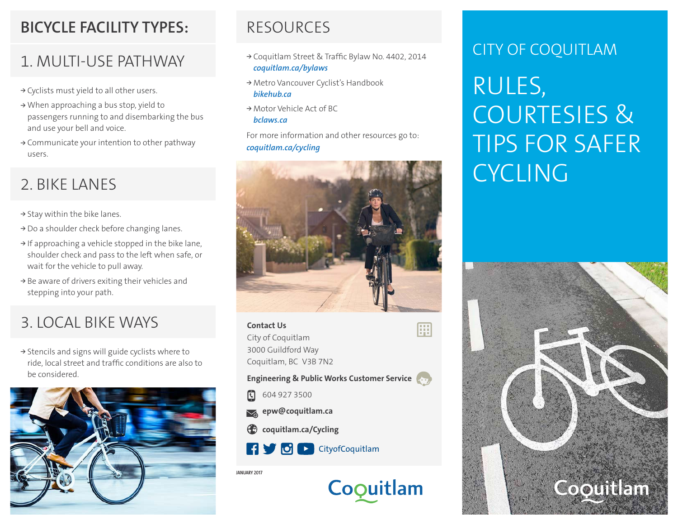### **BICYCLE FACILITY TYPES:**

### 1. MULTI-USE PATHWAY

- **<sup>&</sup>gt;** Cyclists must yield to all other users.
- **<sup>&</sup>gt;** When approaching a bus stop, yield to passengers running to and disembarking the bus and use your bell and voice.
- **<sup>&</sup>gt;** Communicate your intention to other pathway users.

- **<sup>&</sup>gt;** Stay within the bike lanes.
- **<sup>&</sup>gt;** Do a shoulder check before changing lanes.
- **<sup>&</sup>gt;** If approaching a vehicle stopped in the bike lane, shoulder check and pass to the left when safe, or wait for the vehicle to pull away.
- **<sup>&</sup>gt;** Be aware of drivers exiting their vehicles and stepping into your path.

# 3. LOCAL BIKE WAYS **Contact Us**

**<sup>&</sup>gt;** Stencils and signs will guide cyclists where to ride, local street and traffic conditions are also to be considered.



### RESOURCES

- **<sup>&</sup>gt;** Coquitlam Street & Traffic Bylaw No. 4402, 2014 *coquitlam.ca/bylaws*
- **<sup>&</sup>gt;** Metro Vancouver Cyclist's Handbook *bikehub.ca*
- **<sup>&</sup>gt;** Motor Vehicle Act of BC *bclaws.ca*

For more information and other resources go to: *coquitlam.ca/cycling*



m

City of Coquitlam 3000 Guildford Way Coquitlam, BC V3B 7N2

**Engineering & Public Works Customer Service**

Coquitlam

- $\boxdot$ 604 927 3500
- **epw@coquitlam.ca**
- **coquitlam.ca/Cycling**



**JANUARY 2017**

CITY OF COQUITLAM

RULES, COURTESIES & TIPS FOR SAFER